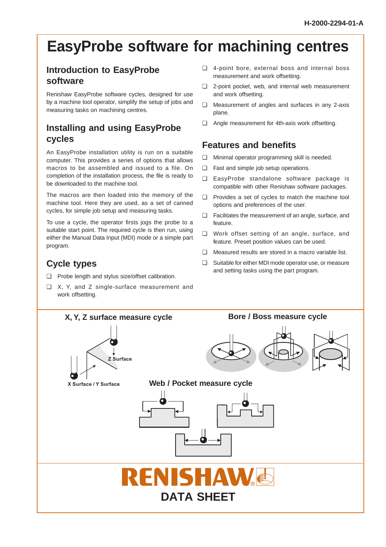# **EasyProbe software for machining centres**

# **Introduction to EasyProbe software**

Renishaw EasyProbe software cycles, designed for use by a machine tool operator, simplify the setup of jobs and measuring tasks on machining centres.

# **Installing and using EasyProbe cycles**

An EasyProbe installation utility is run on a suitable computer. This provides a series of options that allows macros to be assembled and issued to a file. On completion of the installation process, the file is ready to be downloaded to the machine tool.

The macros are then loaded into the memory of the machine tool. Here they are used, as a set of canned cycles, for simple job setup and measuring tasks.

To use a cycle, the operator firsts jogs the probe to a suitable start point. The required cycle is then run, using either the Manual Data Input (MDI) mode or a simple part program.

# **Cycle types**

- ❏ Probe length and stylus size/offset calibration.
- ❏ X, Y, and Z single-surface measurement and work offsetting.
- ❏ 4-point bore, external boss and internal boss measurement and work offsetting.
- ❏ 2-point pocket, web, and internal web measurement and work offsetting.
- ❏ Measurement of angles and surfaces in any 2-axis plane.
- ❏ Angle measurement for 4th-axis work offsetting.

# **Features and benefits**

- ❏ Minimal operator programming skill is needed.
- ❏ Fast and simple job setup operations.
- ❏ EasyProbe standalone software package is compatible with other Renishaw software packages.
- ❏ Provides a set of cycles to match the machine tool options and preferences of the user.
- ❏ Facilitates the measurement of an angle, surface, and feature.
- ❏ Work offset setting of an angle, surface, and feature. Preset position values can be used.
- ❏ Measured results are stored in a macro variable list.
- ❏ Suitable for either MDI mode operator use, or measure and setting tasks using the part program.